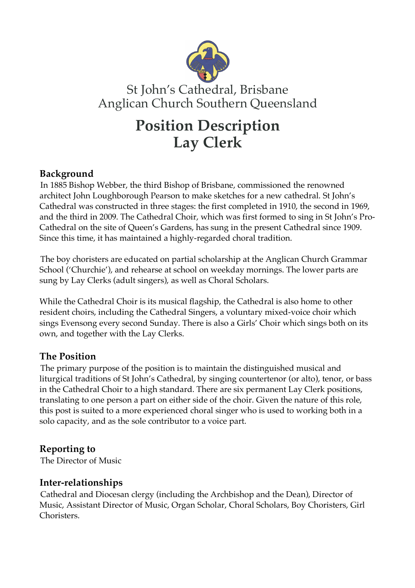

# St John's Cathedral, Brisbane Anglican Church Southern Queensland

# **Position Description Lay Clerk**

## **Background**

In 1885 Bishop Webber, the third Bishop of Brisbane, commissioned the renowned architect John Loughborough Pearson to make sketches for a new cathedral. St John's Cathedral was constructed in three stages: the first completed in 1910, the second in 1969, and the third in 2009. The Cathedral Choir, which was first formed to sing in St John's Pro-Cathedral on the site of Queen's Gardens, has sung in the present Cathedral since 1909. Since this time, it has maintained a highly-regarded choral tradition.

The boy choristers are educated on partial scholarship at the Anglican Church Grammar School ('Churchie'), and rehearse at school on weekday mornings. The lower parts are sung by Lay Clerks (adult singers), as well as Choral Scholars.

While the Cathedral Choir is its musical flagship, the Cathedral is also home to other resident choirs, including the Cathedral Singers, a voluntary mixed-voice choir which sings Evensong every second Sunday. There is also a Girls' Choir which sings both on its own, and together with the Lay Clerks.

### **The Position**

The primary purpose of the position is to maintain the distinguished musical and liturgical traditions of St John's Cathedral, by singing countertenor (or alto), tenor, or bass in the Cathedral Choir to a high standard. There are six permanent Lay Clerk positions, translating to one person a part on either side of the choir. Given the nature of this role, this post is suited to a more experienced choral singer who is used to working both in a solo capacity, and as the sole contributor to a voice part.

# **Reporting to**

The Director of Music

### **Inter-relationships**

Cathedral and Diocesan clergy (including the Archbishop and the Dean), Director of Music, Assistant Director of Music, Organ Scholar, Choral Scholars, Boy Choristers, Girl Choristers.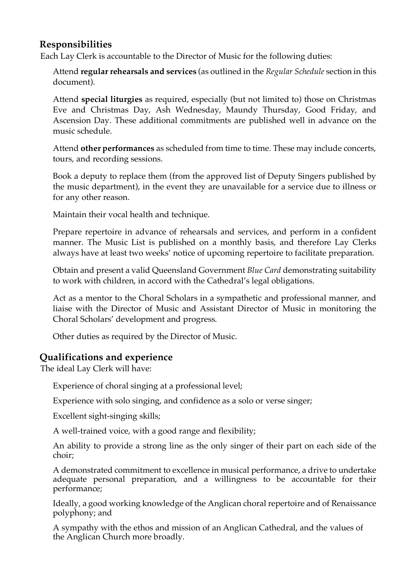#### **Responsibilities**

Each Lay Clerk is accountable to the Director of Music for the following duties:

Attend **regular rehearsals and services** (as outlined in the *Regular Schedule* section in this document).

Attend **special liturgies** as required, especially (but not limited to) those on Christmas Eve and Christmas Day, Ash Wednesday, Maundy Thursday, Good Friday, and Ascension Day. These additional commitments are published well in advance on the music schedule.

Attend **other performances** as scheduled from time to time. These may include concerts, tours, and recording sessions.

Book a deputy to replace them (from the approved list of Deputy Singers published by the music department), in the event they are unavailable for a service due to illness or for any other reason.

Maintain their vocal health and technique.

Prepare repertoire in advance of rehearsals and services, and perform in a confident manner. The Music List is published on a monthly basis, and therefore Lay Clerks always have at least two weeks' notice of upcoming repertoire to facilitate preparation.

Obtain and present a valid Queensland Government *Blue Card* demonstrating suitability to work with children, in accord with the Cathedral's legal obligations.

Act as a mentor to the Choral Scholars in a sympathetic and professional manner, and liaise with the Director of Music and Assistant Director of Music in monitoring the Choral Scholars' development and progress.

Other duties as required by the Director of Music.

### **Qualifications and experience**

The ideal Lay Clerk will have:

Experience of choral singing at a professional level;

Experience with solo singing, and confidence as a solo or verse singer;

Excellent sight-singing skills;

A well-trained voice, with a good range and flexibility;

An ability to provide a strong line as the only singer of their part on each side of the choir;

A demonstrated commitment to excellence in musical performance, a drive to undertake adequate personal preparation, and a willingness to be accountable for their performance;

Ideally, a good working knowledge of the Anglican choral repertoire and of Renaissance polyphony; and

A sympathy with the ethos and mission of an Anglican Cathedral, and the values of the Anglican Church more broadly.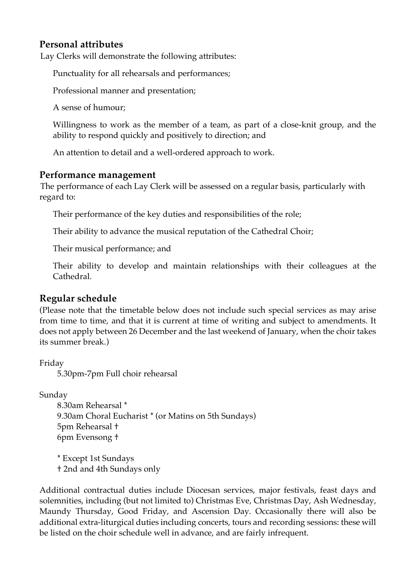#### **Personal attributes**

Lay Clerks will demonstrate the following attributes:

Punctuality for all rehearsals and performances;

Professional manner and presentation;

A sense of humour;

Willingness to work as the member of a team, as part of a close-knit group, and the ability to respond quickly and positively to direction; and

An attention to detail and a well-ordered approach to work.

#### **Performance management**

The performance of each Lay Clerk will be assessed on a regular basis, particularly with regard to:

Their performance of the key duties and responsibilities of the role;

Their ability to advance the musical reputation of the Cathedral Choir;

Their musical performance; and

Their ability to develop and maintain relationships with their colleagues at the Cathedral.

#### **Regular schedule**

(Please note that the timetable below does not include such special services as may arise from time to time, and that it is current at time of writing and subject to amendments. It does not apply between 26 December and the last weekend of January, when the choir takes its summer break.)

Friday

5.30pm-7pm Full choir rehearsal

Sunday

8.30am Rehearsal \* 9.30am Choral Eucharist \* (or Matins on 5th Sundays) 5pm Rehearsal † 6pm Evensong †

\* Except 1st Sundays † 2nd and 4th Sundays only

Additional contractual duties include Diocesan services, major festivals, feast days and solemnities, including (but not limited to) Christmas Eve, Christmas Day, Ash Wednesday, Maundy Thursday, Good Friday, and Ascension Day. Occasionally there will also be additional extra-liturgical duties including concerts, tours and recording sessions: these will be listed on the choir schedule well in advance, and are fairly infrequent.